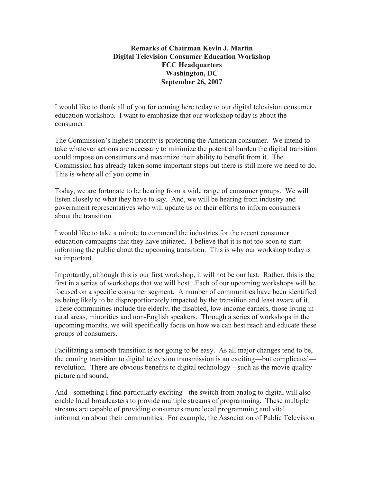## **Remarks of Chairman Kevin J. Martin Digital Television Consumer Education Workshop FCC Headquarters Washington, DC September 26, 2007**

I would like to thank all of you for coming here today to our digital television consumer education workshop. I want to emphasize that our workshop today is about the consumer.

The Commission's highest priority is protecting the American consumer. We intend to take whatever actions are necessary to minimize the potential burden the digital transition could impose on consumers and maximize their ability to benefit from it. The Commission has already taken some important steps but there is still more we need to do. This is where all of you come in.

Today, we are fortunate to be hearing from a wide range of consumer groups. We will listen closely to what they have to say. And, we will be hearing from industry and government representatives who will update us on their efforts to inform consumers about the transition.

I would like to take a minute to commend the industries for the recent consumer education campaigns that they have initiated. I believe that it is not too soon to start informing the public about the upcoming transition. This is why our workshop today is so important.

Importantly, although this is our first workshop, it will not be our last. Rather, this is the first in a series of workshops that we will host. Each of our upcoming workshops will be focused on a specific consumer segment. A number of communities have been identified as being likely to be disproportionately impacted by the transition and least aware of it. These communities include the elderly, the disabled, low-income earners, those living in rural areas, minorities and non-English speakers. Through a series of workshops in the upcoming months, we will specifically focus on how we can best reach and educate these groups of consumers.

Facilitating a smooth transition is not going to be easy. As all major changes tend to be, the coming transition to digital television transmission is an exciting—but complicated revolution. There are obvious benefits to digital technology – such as the movie quality picture and sound.

And - something I find particularly exciting - the switch from analog to digital will also enable local broadcasters to provide multiple streams of programming. These multiple streams are capable of providing consumers more local programming and vital information about their communities. For example, the Association of Public Television